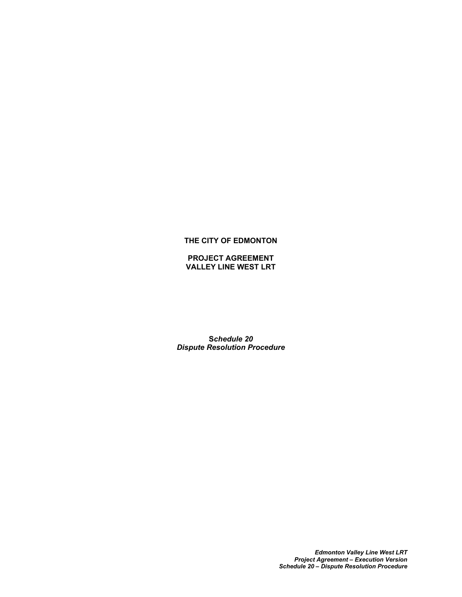# **THE CITY OF EDMONTON**

**PROJECT AGREEMENT VALLEY LINE WEST LRT**

**S***chedule 20 Dispute Resolution Procedure*

> *Edmonton Valley Line West LRT Project Agreement – Execution Version Schedule 20 – Dispute Resolution Procedure*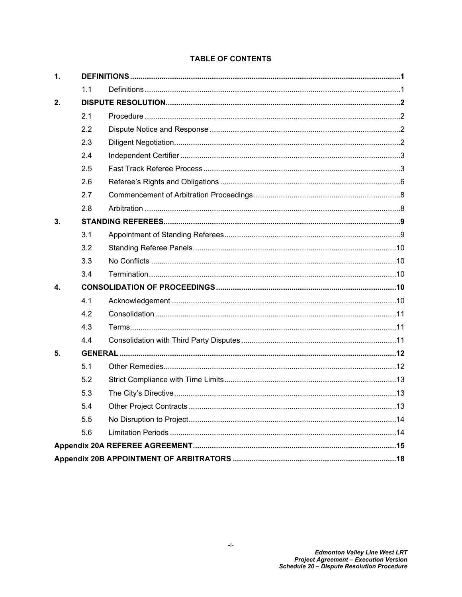# **TABLE OF CONTENTS**

| $\mathbf{1}$ . |     |  |  |
|----------------|-----|--|--|
|                | 1.1 |  |  |
| 2.             |     |  |  |
|                | 2.1 |  |  |
|                | 2.2 |  |  |
|                | 2.3 |  |  |
|                | 2.4 |  |  |
|                | 2.5 |  |  |
|                | 2.6 |  |  |
|                | 2.7 |  |  |
|                | 2.8 |  |  |
| 3.             |     |  |  |
|                | 3.1 |  |  |
|                | 3.2 |  |  |
|                | 3.3 |  |  |
|                | 3.4 |  |  |
| 4.             |     |  |  |
|                | 4.1 |  |  |
|                | 4.2 |  |  |
|                | 4.3 |  |  |
|                | 44  |  |  |
| 5.             |     |  |  |
|                | 5.1 |  |  |
|                | 5.2 |  |  |
|                | 5.3 |  |  |
|                | 5.4 |  |  |
|                | 5.5 |  |  |
|                | 5.6 |  |  |
|                |     |  |  |
|                |     |  |  |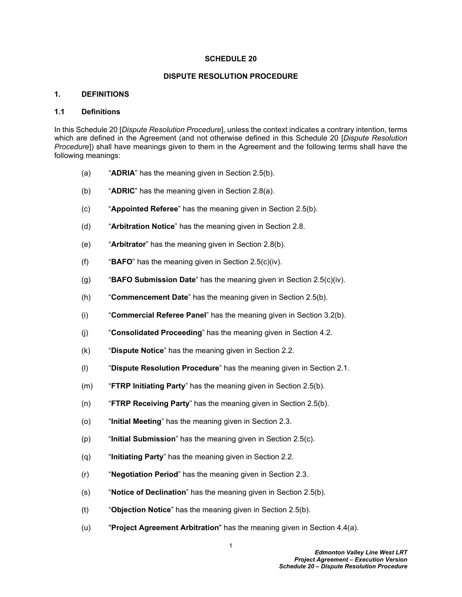#### **SCHEDULE 20**

### **DISPUTE RESOLUTION PROCEDURE**

### <span id="page-2-0"></span>**1. DEFINITIONS**

#### <span id="page-2-1"></span>**1.1 Definitions**

In this Schedule 20 [*Dispute Resolution Procedure*], unless the context indicates a contrary intention, terms which are defined in the Agreement (and not otherwise defined in this Schedule 20 [*Dispute Resolution Procedure*]) shall have meanings given to them in the Agreement and the following terms shall have the following meanings:

- (a) "**ADRIA**" has the meaning given in Section [2.5\(b\)](#page-4-2).
- (b) "**ADRIC**" has the meaning given in Section [2.8\(a\)](#page-9-2).
- (c) "**Appointed Referee**" has the meaning given in Section [2.5\(b\).](#page-4-2)
- (d) "**Arbitration Notice**" has the meaning given in Section [2.8.](#page-9-1)
- (e) "**Arbitrator**" has the meaning given in Section [2.8\(b\).](#page-9-3)
- (f) "**BAFO**" has the meaning given in Section [2.5\(c\)\(iv\)](#page-6-0).
- (g) "**BAFO Submission Date**" has the meaning given in Section [2.5\(c\)\(iv\)](#page-6-0).
- (h) "**Commencement Date**" has the meaning given in Section [2.5\(b\).](#page-4-2)
- (i) "**Commercial Referee Panel**" has the meaning given in Section [3.2\(b\).](#page-11-5)
- (j) "**Consolidated Proceeding**" has the meaning given in Section [4.2](#page-11-4).
- (k) "**Dispute Notice**" has the meaning given in Section [2.2](#page-3-2).
- (l) "**Dispute Resolution Procedure**" has the meaning given in Section [2.1.](#page-3-1)
- (m) "**FTRP Initiating Party**" has the meaning given in Section [2.5\(b\).](#page-4-2)
- (n) "**FTRP Receiving Party**" has the meaning given in Section [2.5\(b\).](#page-4-2)
- (o) "**Initial Meeting**" has the meaning given in Section [2.3](#page-3-3).
- (p) "**Initial Submission**" has the meaning given in Section [2.5\(c\).](#page-6-1)
- (q) "**Initiating Party**" has the meaning given in Section [2.2.](#page-3-2)
- (r) "**Negotiation Period**" has the meaning given in Section [2.3](#page-3-3).
- (s) "**Notice of Declination**" has the meaning given in Section [2.5\(b\)](#page-4-2).
- (t) "**Objection Notice**" has the meaning given in Section [2.5\(b\)](#page-4-2).
- (u) "**Project Agreement Arbitration**" has the meaning given in Section [4.4\(a\).](#page-12-2)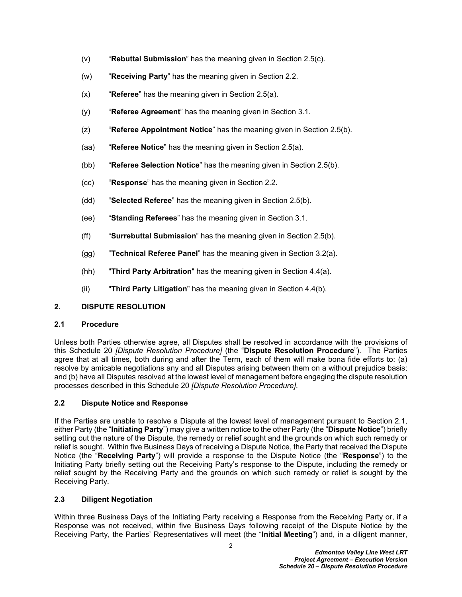- (v) "**Rebuttal Submission**" has the meaning given in Section [2.5\(c\).](#page-6-1)
- (w) "**Receiving Party**" has the meaning given in Section [2.2](#page-3-2).
- (x) "**Referee**" has the meaning given in Section [2.5\(a\)](#page-4-3).
- (y) "**Referee Agreement**" has the meaning given in Section [3.1](#page-10-1).
- (z) "**Referee Appointment Notice**" has the meaning given in Section [2.5\(b\)](#page-4-2).
- (aa) "**Referee Notice**" has the meaning given in Section [2.5\(a\).](#page-4-3)
- (bb) "**Referee Selection Notice**" has the meaning given in Section [2.5\(b\).](#page-4-2)
- (cc) "**Response**" has the meaning given in Section [2.2](#page-3-2).
- (dd) "**Selected Referee**" has the meaning given in Section [2.5\(b\)](#page-4-2).
- (ee) "**Standing Referees**" has the meaning given in Section [3.1](#page-10-1).
- (ff) "**Surrebuttal Submission**" has the meaning given in Section [2.5\(b\)](#page-4-2).
- (gg) "**Technical Referee Panel**" has the meaning given in Section [3.2\(a\).](#page-10-3)
- (hh) "**Third Party Arbitration**" has the meaning given in Section [4.4\(a\).](#page-12-2)
- (ii) "**Third Party Litigation**" has the meaning given in Section [4.4\(b\).](#page-12-3)

# <span id="page-3-0"></span>**2. DISPUTE RESOLUTION**

# <span id="page-3-1"></span>**2.1 Procedure**

Unless both Parties otherwise agree, all Disputes shall be resolved in accordance with the provisions of this Schedule 20 *[Dispute Resolution Procedure]* (the "**Dispute Resolution Procedure**"). The Parties agree that at all times, both during and after the Term, each of them will make bona fide efforts to: (a) resolve by amicable negotiations any and all Disputes arising between them on a without prejudice basis; and (b) have all Disputes resolved at the lowest level of management before engaging the dispute resolution processes described in this Schedule 20 *[Dispute Resolution Procedure]*.

# <span id="page-3-2"></span>**2.2 Dispute Notice and Response**

If the Parties are unable to resolve a Dispute at the lowest level of management pursuant to Section [2.1](#page-3-1), either Party (the "**Initiating Party**") may give a written notice to the other Party (the "**Dispute Notice**") briefly setting out the nature of the Dispute, the remedy or relief sought and the grounds on which such remedy or relief is sought. Within five Business Days of receiving a Dispute Notice, the Party that received the Dispute Notice (the "**Receiving Party**") will provide a response to the Dispute Notice (the "**Response**") to the Initiating Party briefly setting out the Receiving Party's response to the Dispute, including the remedy or relief sought by the Receiving Party and the grounds on which such remedy or relief is sought by the Receiving Party.

# <span id="page-3-3"></span>**2.3 Diligent Negotiation**

Within three Business Days of the Initiating Party receiving a Response from the Receiving Party or, if a Response was not received, within five Business Days following receipt of the Dispute Notice by the Receiving Party, the Parties' Representatives will meet (the "**Initial Meeting**") and, in a diligent manner,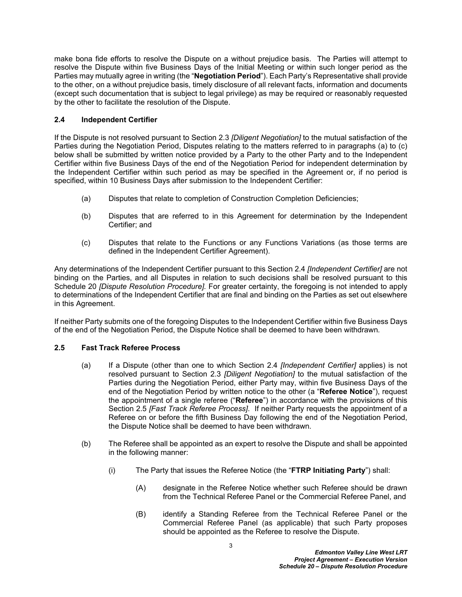make bona fide efforts to resolve the Dispute on a without prejudice basis. The Parties will attempt to resolve the Dispute within five Business Days of the Initial Meeting or within such longer period as the Parties may mutually agree in writing (the "**Negotiation Period**"). Each Party's Representative shall provide to the other, on a without prejudice basis, timely disclosure of all relevant facts, information and documents (except such documentation that is subject to legal privilege) as may be required or reasonably requested by the other to facilitate the resolution of the Dispute.

# <span id="page-4-0"></span>**2.4 Independent Certifier**

If the Dispute is not resolved pursuant to Section [2.3](#page-3-3) *[Diligent Negotiation]* to the mutual satisfaction of the Parties during the Negotiation Period, Disputes relating to the matters referred to in paragraphs [\(a\)](#page-4-4) to [\(c\)](#page-4-5)  below shall be submitted by written notice provided by a Party to the other Party and to the Independent Certifier within five Business Days of the end of the Negotiation Period for independent determination by the Independent Certifier within such period as may be specified in the Agreement or, if no period is specified, within 10 Business Days after submission to the Independent Certifier:

- <span id="page-4-4"></span>(a) Disputes that relate to completion of Construction Completion Deficiencies;
- (b) Disputes that are referred to in this Agreement for determination by the Independent Certifier; and
- <span id="page-4-5"></span>(c) Disputes that relate to the Functions or any Functions Variations (as those terms are defined in the Independent Certifier Agreement).

Any determinations of the Independent Certifier pursuant to this Section [2.4](#page-4-0) *[Independent Certifier]* are not binding on the Parties, and all Disputes in relation to such decisions shall be resolved pursuant to this Schedule 20 *[Dispute Resolution Procedure].* For greater certainty, the foregoing is not intended to apply to determinations of the Independent Certifier that are final and binding on the Parties as set out elsewhere in this Agreement.

If neither Party submits one of the foregoing Disputes to the Independent Certifier within five Business Days of the end of the Negotiation Period, the Dispute Notice shall be deemed to have been withdrawn*.*

### <span id="page-4-1"></span>**2.5 Fast Track Referee Process**

- <span id="page-4-3"></span>(a) If a Dispute (other than one to which Section [2.4](#page-4-0) *[Independent Certifier]* applies) is not resolved pursuant to Section [2.3](#page-3-3) *[Diligent Negotiation]* to the mutual satisfaction of the Parties during the Negotiation Period, either Party may, within five Business Days of the end of the Negotiation Period by written notice to the other (a "**Referee Notice**"), request the appointment of a single referee ("**Referee**") in accordance with the provisions of this Section [2.5](#page-4-1) *[Fast Track Referee Process]*. If neither Party requests the appointment of a Referee on or before the fifth Business Day following the end of the Negotiation Period, the Dispute Notice shall be deemed to have been withdrawn*.*
- <span id="page-4-2"></span>(b) The Referee shall be appointed as an expert to resolve the Dispute and shall be appointed in the following manner:
	- (i) The Party that issues the Referee Notice (the "**FTRP Initiating Party**") shall:
		- (A) designate in the Referee Notice whether such Referee should be drawn from the Technical Referee Panel or the Commercial Referee Panel, and
		- (B) identify a Standing Referee from the Technical Referee Panel or the Commercial Referee Panel (as applicable) that such Party proposes should be appointed as the Referee to resolve the Dispute.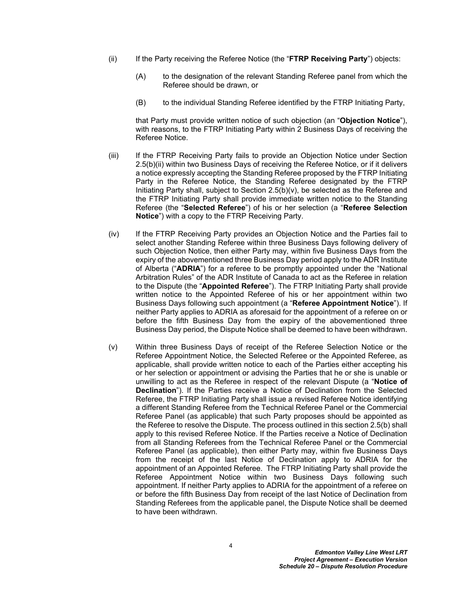- (ii) If the Party receiving the Referee Notice (the "**FTRP Receiving Party**") objects:
	- (A) to the designation of the relevant Standing Referee panel from which the Referee should be drawn, or
	- (B) to the individual Standing Referee identified by the FTRP Initiating Party,

that Party must provide written notice of such objection (an "**Objection Notice**"), with reasons, to the FTRP Initiating Party within 2 Business Days of receiving the Referee Notice.

- (iii) If the FTRP Receiving Party fails to provide an Objection Notice under Section 2.5(b)(ii) within two Business Days of receiving the Referee Notice, or if it delivers a notice expressly accepting the Standing Referee proposed by the FTRP Initiating Party in the Referee Notice, the Standing Referee designated by the FTRP Initiating Party shall, subject to Section [2.5\(b\)\(v\),](#page-5-0) be selected as the Referee and the FTRP Initiating Party shall provide immediate written notice to the Standing Referee (the "**Selected Referee**") of his or her selection (a "**Referee Selection Notice**") with a copy to the FTRP Receiving Party.
- (iv) If the FTRP Receiving Party provides an Objection Notice and the Parties fail to select another Standing Referee within three Business Days following delivery of such Objection Notice, then either Party may, within five Business Days from the expiry of the abovementioned three Business Day period apply to the ADR Institute of Alberta ("**ADRIA**") for a referee to be promptly appointed under the "National Arbitration Rules" of the ADR Institute of Canada to act as the Referee in relation to the Dispute (the "**Appointed Referee**"). The FTRP Initiating Party shall provide written notice to the Appointed Referee of his or her appointment within two Business Days following such appointment (a "**Referee Appointment Notice**"). If neither Party applies to ADRIA as aforesaid for the appointment of a referee on or before the fifth Business Day from the expiry of the abovementioned three Business Day period, the Dispute Notice shall be deemed to have been withdrawn.
- <span id="page-5-0"></span>(v) Within three Business Days of receipt of the Referee Selection Notice or the Referee Appointment Notice, the Selected Referee or the Appointed Referee, as applicable, shall provide written notice to each of the Parties either accepting his or her selection or appointment or advising the Parties that he or she is unable or unwilling to act as the Referee in respect of the relevant Dispute (a "**Notice of Declination**"). If the Parties receive a Notice of Declination from the Selected Referee, the FTRP Initiating Party shall issue a revised Referee Notice identifying a different Standing Referee from the Technical Referee Panel or the Commercial Referee Panel (as applicable) that such Party proposes should be appointed as the Referee to resolve the Dispute. The process outlined in this section [2.5\(b\)](#page-4-2) shall apply to this revised Referee Notice. If the Parties receive a Notice of Declination from all Standing Referees from the Technical Referee Panel or the Commercial Referee Panel (as applicable), then either Party may, within five Business Days from the receipt of the last Notice of Declination apply to ADRIA for the appointment of an Appointed Referee. The FTRP Initiating Party shall provide the Referee Appointment Notice within two Business Days following such appointment. If neither Party applies to ADRIA for the appointment of a referee on or before the fifth Business Day from receipt of the last Notice of Declination from Standing Referees from the applicable panel, the Dispute Notice shall be deemed to have been withdrawn.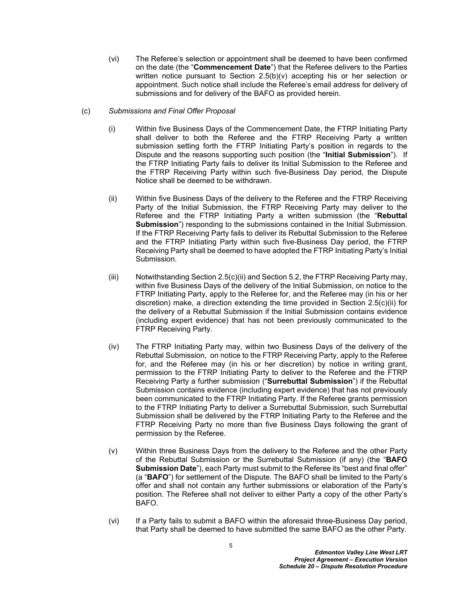(vi) The Referee's selection or appointment shall be deemed to have been confirmed on the date (the "**Commencement Date**") that the Referee delivers to the Parties written notice pursuant to Section [2.5\(b\)\(v\)](#page-5-0) accepting his or her selection or appointment. Such notice shall include the Referee's email address for delivery of submissions and for delivery of the BAFO as provided herein.

#### <span id="page-6-1"></span>(c) *Submissions and Final Offer Proposal*

- (i) Within five Business Days of the Commencement Date, the FTRP Initiating Party shall deliver to both the Referee and the FTRP Receiving Party a written submission setting forth the FTRP Initiating Party's position in regards to the Dispute and the reasons supporting such position (the "**Initial Submission**"). If the FTRP Initiating Party fails to deliver its Initial Submission to the Referee and the FTRP Receiving Party within such five-Business Day period, the Dispute Notice shall be deemed to be withdrawn.
- <span id="page-6-2"></span>(ii) Within five Business Days of the delivery to the Referee and the FTRP Receiving Party of the Initial Submission, the FTRP Receiving Party may deliver to the Referee and the FTRP Initiating Party a written submission (the "**Rebuttal Submission**") responding to the submissions contained in the Initial Submission. If the FTRP Receiving Party fails to deliver its Rebuttal Submission to the Referee and the FTRP Initiating Party within such five-Business Day period, the FTRP Receiving Party shall be deemed to have adopted the FTRP Initiating Party's Initial Submission.
- (iii) Notwithstanding Section [2.5\(c\)\(ii\)](#page-6-2) and Section [5.2,](#page-13-2) the FTRP Receiving Party may, within five Business Days of the delivery of the Initial Submission, on notice to the FTRP Initiating Party, apply to the Referee for, and the Referee may (in his or her discretion) make, a direction extending the time provided in Section [2.5\(c\)\(ii\)](#page-6-2) for the delivery of a Rebuttal Submission if the Initial Submission contains evidence (including expert evidence) that has not been previously communicated to the FTRP Receiving Party.
- <span id="page-6-0"></span>(iv) The FTRP Initiating Party may, within two Business Days of the delivery of the Rebuttal Submission, on notice to the FTRP Receiving Party, apply to the Referee for, and the Referee may (in his or her discretion) by notice in writing grant, permission to the FTRP Initiating Party to deliver to the Referee and the FTRP Receiving Party a further submission ("**Surrebuttal Submission**") if the Rebuttal Submission contains evidence (including expert evidence) that has not previously been communicated to the FTRP Initiating Party. If the Referee grants permission to the FTRP Initiating Party to deliver a Surrebuttal Submission, such Surrebuttal Submission shall be delivered by the FTRP Initiating Party to the Referee and the FTRP Receiving Party no more than five Business Days following the grant of permission by the Referee.
- (v) Within three Business Days from the delivery to the Referee and the other Party of the Rebuttal Submission or the Surrebuttal Submission (if any) (the "**BAFO Submission Date**"), each Party must submit to the Referee its "best and final offer" (a "**BAFO**") for settlement of the Dispute. The BAFO shall be limited to the Party's offer and shall not contain any further submissions or elaboration of the Party's position. The Referee shall not deliver to either Party a copy of the other Party's BAFO.
- (vi) If a Party fails to submit a BAFO within the aforesaid three-Business Day period, that Party shall be deemed to have submitted the same BAFO as the other Party.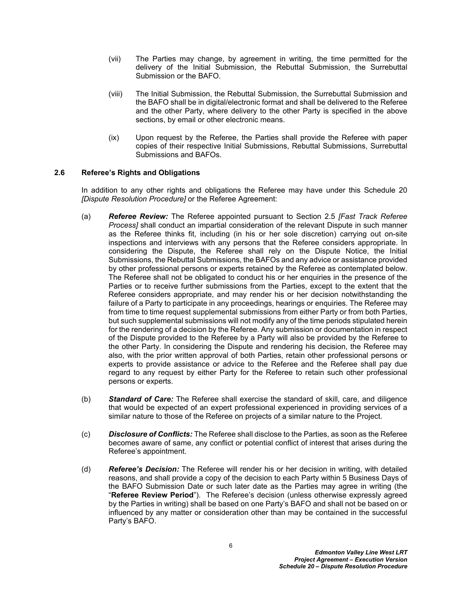- (vii) The Parties may change, by agreement in writing, the time permitted for the delivery of the Initial Submission, the Rebuttal Submission, the Surrebuttal Submission or the BAFO.
- (viii) The Initial Submission, the Rebuttal Submission, the Surrebuttal Submission and the BAFO shall be in digital/electronic format and shall be delivered to the Referee and the other Party, where delivery to the other Party is specified in the above sections, by email or other electronic means.
- (ix) Upon request by the Referee, the Parties shall provide the Referee with paper copies of their respective Initial Submissions, Rebuttal Submissions, Surrebuttal Submissions and BAFOs.

## <span id="page-7-0"></span>**2.6 Referee's Rights and Obligations**

In addition to any other rights and obligations the Referee may have under this Schedule 20 *[Dispute Resolution Procedure]* or the Referee Agreement:

- <span id="page-7-1"></span>(a) *Referee Review:* The Referee appointed pursuant to Section [2.5](#page-4-1) *[Fast Track Referee Process]* shall conduct an impartial consideration of the relevant Dispute in such manner as the Referee thinks fit, including (in his or her sole discretion) carrying out on-site inspections and interviews with any persons that the Referee considers appropriate. In considering the Dispute, the Referee shall rely on the Dispute Notice, the Initial Submissions, the Rebuttal Submissions, the BAFOs and any advice or assistance provided by other professional persons or experts retained by the Referee as contemplated below. The Referee shall not be obligated to conduct his or her enquiries in the presence of the Parties or to receive further submissions from the Parties, except to the extent that the Referee considers appropriate, and may render his or her decision notwithstanding the failure of a Party to participate in any proceedings, hearings or enquiries. The Referee may from time to time request supplemental submissions from either Party or from both Parties, but such supplemental submissions will not modify any of the time periods stipulated herein for the rendering of a decision by the Referee. Any submission or documentation in respect of the Dispute provided to the Referee by a Party will also be provided by the Referee to the other Party. In considering the Dispute and rendering his decision, the Referee may also, with the prior written approval of both Parties, retain other professional persons or experts to provide assistance or advice to the Referee and the Referee shall pay due regard to any request by either Party for the Referee to retain such other professional persons or experts.
- <span id="page-7-2"></span>(b) *Standard of Care:* The Referee shall exercise the standard of skill, care, and diligence that would be expected of an expert professional experienced in providing services of a similar nature to those of the Referee on projects of a similar nature to the Project.
- (c) *Disclosure of Conflicts:* The Referee shall disclose to the Parties, as soon as the Referee becomes aware of same, any conflict or potential conflict of interest that arises during the Referee's appointment.
- (d) *Referee's Decision:* The Referee will render his or her decision in writing, with detailed reasons, and shall provide a copy of the decision to each Party within 5 Business Days of the BAFO Submission Date or such later date as the Parties may agree in writing (the "**Referee Review Period**"). The Referee's decision (unless otherwise expressly agreed by the Parties in writing) shall be based on one Party's BAFO and shall not be based on or influenced by any matter or consideration other than may be contained in the successful Party's BAFO.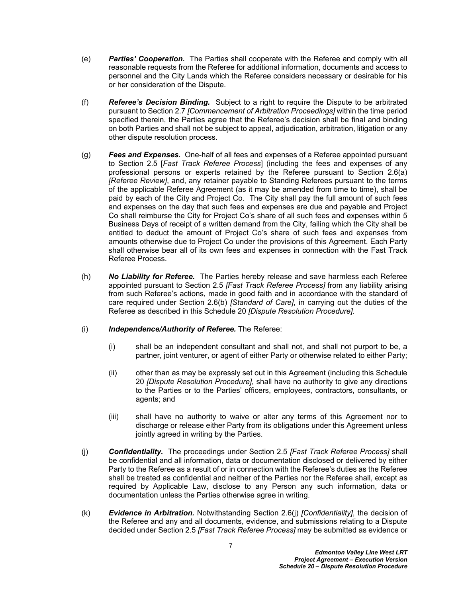- (e) *Parties' Cooperation.* The Parties shall cooperate with the Referee and comply with all reasonable requests from the Referee for additional information, documents and access to personnel and the City Lands which the Referee considers necessary or desirable for his or her consideration of the Dispute.
- (f) *Referee's Decision Binding.* Subject to a right to require the Dispute to be arbitrated pursuant to Section [2.7](#page-9-0) *[Commencement of Arbitration Proceedings]* within the time period specified therein, the Parties agree that the Referee's decision shall be final and binding on both Parties and shall not be subject to appeal, adjudication, arbitration, litigation or any other dispute resolution process.
- (g) *Fees and Expenses.* One-half of all fees and expenses of a Referee appointed pursuant to Section [2.5](#page-4-1) [*Fast Track Referee Process*] (including the fees and expenses of any professional persons or experts retained by the Referee pursuant to Section [2.6\(a\)](#page-7-1) *[Referee Review]*, and, any retainer payable to Standing Referees pursuant to the terms of the applicable Referee Agreement (as it may be amended from time to time), shall be paid by each of the City and Project Co. The City shall pay the full amount of such fees and expenses on the day that such fees and expenses are due and payable and Project Co shall reimburse the City for Project Co's share of all such fees and expenses within 5 Business Days of receipt of a written demand from the City, failing which the City shall be entitled to deduct the amount of Project Co's share of such fees and expenses from amounts otherwise due to Project Co under the provisions of this Agreement. Each Party shall otherwise bear all of its own fees and expenses in connection with the Fast Track Referee Process.
- (h) *No Liability for Referee.* The Parties hereby release and save harmless each Referee appointed pursuant to Section [2.5](#page-4-1) *[Fast Track Referee Process]* from any liability arising from such Referee's actions, made in good faith and in accordance with the standard of care required under Section [2.6\(b\)](#page-7-2) *[Standard of Care]*, in carrying out the duties of the Referee as described in this Schedule 20 *[Dispute Resolution Procedure]*.

#### (i) *Independence/Authority of Referee.* The Referee:

- (i) shall be an independent consultant and shall not, and shall not purport to be, a partner, joint venturer, or agent of either Party or otherwise related to either Party;
- (ii) other than as may be expressly set out in this Agreement (including this Schedule 20 *[Dispute Resolution Procedure]*, shall have no authority to give any directions to the Parties or to the Parties' officers, employees, contractors, consultants, or agents; and
- (iii) shall have no authority to waive or alter any terms of this Agreement nor to discharge or release either Party from its obligations under this Agreement unless jointly agreed in writing by the Parties.
- <span id="page-8-0"></span>(j) *Confidentiality.* The proceedings under Section [2.5](#page-4-1) *[Fast Track Referee Process]* shall be confidential and all information, data or documentation disclosed or delivered by either Party to the Referee as a result of or in connection with the Referee's duties as the Referee shall be treated as confidential and neither of the Parties nor the Referee shall, except as required by Applicable Law, disclose to any Person any such information, data or documentation unless the Parties otherwise agree in writing.
- <span id="page-8-1"></span>(k) *Evidence in Arbitration.* Notwithstanding Section [2.6\(j\)](#page-8-0) *[Confidentiality]*, the decision of the Referee and any and all documents, evidence, and submissions relating to a Dispute decided under Section [2.5](#page-4-1) *[Fast Track Referee Process]* may be submitted as evidence or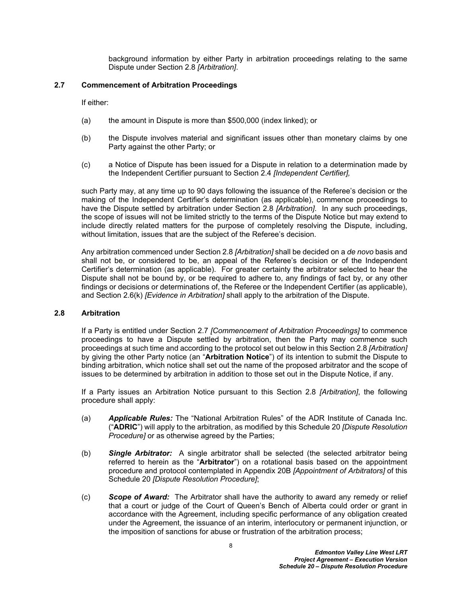background information by either Party in arbitration proceedings relating to the same Dispute under Section [2.8](#page-9-1) *[Arbitration]*.

# <span id="page-9-0"></span>**2.7 Commencement of Arbitration Proceedings**

If either:

- (a) the amount in Dispute is more than \$500,000 (index linked); or
- (b) the Dispute involves material and significant issues other than monetary claims by one Party against the other Party; or
- (c) a Notice of Dispute has been issued for a Dispute in relation to a determination made by the Independent Certifier pursuant to Section [2.4](#page-4-0) *[Independent Certifier],*

such Party may, at any time up to 90 days following the issuance of the Referee's decision or the making of the Independent Certifier's determination (as applicable), commence proceedings to have the Dispute settled by arbitration under Section [2.8](#page-9-1) *[Arbitration]*. In any such proceedings, the scope of issues will not be limited strictly to the terms of the Dispute Notice but may extend to include directly related matters for the purpose of completely resolving the Dispute, including, without limitation, issues that are the subject of the Referee's decision.

Any arbitration commenced under Section [2.8](#page-9-1) *[Arbitration]* shall be decided on a *de novo* basis and shall not be, or considered to be, an appeal of the Referee's decision or of the Independent Certifier's determination (as applicable). For greater certainty the arbitrator selected to hear the Dispute shall not be bound by, or be required to adhere to, any findings of fact by, or any other findings or decisions or determinations of, the Referee or the Independent Certifier (as applicable), and Section [2.6\(k\)](#page-8-1) *[Evidence in Arbitration]* shall apply to the arbitration of the Dispute.

#### <span id="page-9-1"></span>**2.8 Arbitration**

If a Party is entitled under Section [2.7](#page-9-0) *[Commencement of Arbitration Proceedings]* to commence proceedings to have a Dispute settled by arbitration, then the Party may commence such proceedings at such time and according to the protocol set out below in this Section [2.8](#page-9-1) *[Arbitration]* by giving the other Party notice (an "**Arbitration Notice**") of its intention to submit the Dispute to binding arbitration, which notice shall set out the name of the proposed arbitrator and the scope of issues to be determined by arbitration in addition to those set out in the Dispute Notice, if any.

If a Party issues an Arbitration Notice pursuant to this Section [2.8](#page-9-1) *[Arbitration]*, the following procedure shall apply:

- <span id="page-9-2"></span>(a) *Applicable Rules:* The "National Arbitration Rules" of the ADR Institute of Canada Inc. ("**ADRIC**") will apply to the arbitration, as modified by this Schedule 20 *[Dispute Resolution Procedure]* or as otherwise agreed by the Parties;
- <span id="page-9-3"></span>(b) *Single Arbitrator:* A single arbitrator shall be selected (the selected arbitrator being referred to herein as the "**Arbitrator**") on a rotational basis based on the appointment procedure and protocol contemplated in [Appendix 20B](#page-19-0) *[Appointment of Arbitrators]* of this Schedule 20 *[Dispute Resolution Procedure]*;
- (c) *Scope of Award:* The Arbitrator shall have the authority to award any remedy or relief that a court or judge of the Court of Queen's Bench of Alberta could order or grant in accordance with the Agreement, including specific performance of any obligation created under the Agreement, the issuance of an interim, interlocutory or permanent injunction, or the imposition of sanctions for abuse or frustration of the arbitration process;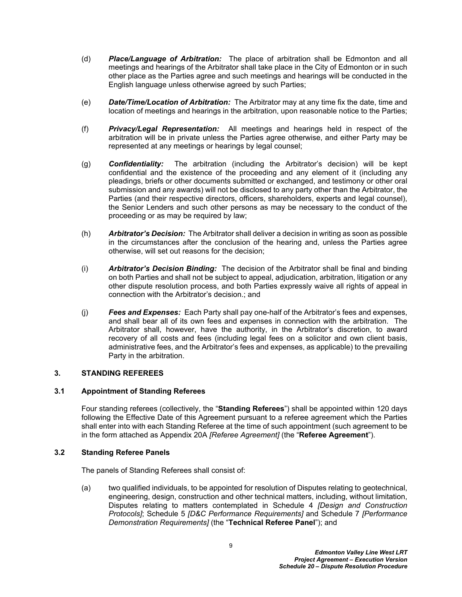- (d) *Place/Language of Arbitration:* The place of arbitration shall be Edmonton and all meetings and hearings of the Arbitrator shall take place in the City of Edmonton or in such other place as the Parties agree and such meetings and hearings will be conducted in the English language unless otherwise agreed by such Parties;
- (e) *Date/Time/Location of Arbitration:* The Arbitrator may at any time fix the date, time and location of meetings and hearings in the arbitration, upon reasonable notice to the Parties;
- (f) *Privacy/Legal Representation:* All meetings and hearings held in respect of the arbitration will be in private unless the Parties agree otherwise, and either Party may be represented at any meetings or hearings by legal counsel;
- (g) *Confidentiality:* The arbitration (including the Arbitrator's decision) will be kept confidential and the existence of the proceeding and any element of it (including any pleadings, briefs or other documents submitted or exchanged, and testimony or other oral submission and any awards) will not be disclosed to any party other than the Arbitrator, the Parties (and their respective directors, officers, shareholders, experts and legal counsel), the Senior Lenders and such other persons as may be necessary to the conduct of the proceeding or as may be required by law;
- (h) *Arbitrator's Decision:* The Arbitrator shall deliver a decision in writing as soon as possible in the circumstances after the conclusion of the hearing and, unless the Parties agree otherwise, will set out reasons for the decision;
- (i) *Arbitrator's Decision Binding:* The decision of the Arbitrator shall be final and binding on both Parties and shall not be subject to appeal, adjudication, arbitration, litigation or any other dispute resolution process, and both Parties expressly waive all rights of appeal in connection with the Arbitrator's decision.; and
- (j) *Fees and Expenses:* Each Party shall pay one-half of the Arbitrator's fees and expenses, and shall bear all of its own fees and expenses in connection with the arbitration. The Arbitrator shall, however, have the authority, in the Arbitrator's discretion, to award recovery of all costs and fees (including legal fees on a solicitor and own client basis, administrative fees, and the Arbitrator's fees and expenses, as applicable) to the prevailing Party in the arbitration.

# <span id="page-10-0"></span>**3. STANDING REFEREES**

#### <span id="page-10-1"></span>**3.1 Appointment of Standing Referees**

Four standing referees (collectively, the "**Standing Referees**") shall be appointed within 120 days following the Effective Date of this Agreement pursuant to a referee agreement which the Parties shall enter into with each Standing Referee at the time of such appointment (such agreement to be in the form attached as [Appendix 20A](#page-15-0) *[Referee Agreement]* (the "**Referee Agreement**").

#### <span id="page-10-2"></span>**3.2 Standing Referee Panels**

The panels of Standing Referees shall consist of:

<span id="page-10-3"></span>(a) two qualified individuals, to be appointed for resolution of Disputes relating to geotechnical, engineering, design, construction and other technical matters, including, without limitation, Disputes relating to matters contemplated in Schedule 4 *[Design and Construction Protocols]*; Schedule 5 *[D&C Performance Requirements]* and Schedule 7 *[Performance Demonstration Requirements]* (the "**Technical Referee Panel**"); and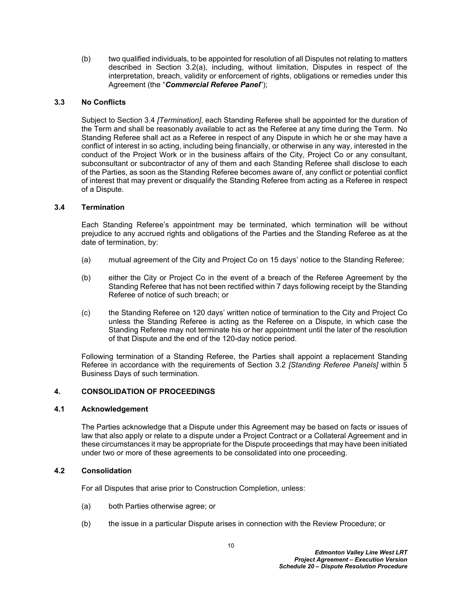<span id="page-11-5"></span>(b) two qualified individuals, to be appointed for resolution of all Disputes not relating to matters described in Section [3.2\(a\)](#page-10-3), including, without limitation, Disputes in respect of the interpretation, breach, validity or enforcement of rights, obligations or remedies under this Agreement (the "*Commercial Referee Panel*");

## <span id="page-11-0"></span>**3.3 No Conflicts**

Subject to Section [3.4](#page-11-1) *[Termination]*, each Standing Referee shall be appointed for the duration of the Term and shall be reasonably available to act as the Referee at any time during the Term. No Standing Referee shall act as a Referee in respect of any Dispute in which he or she may have a conflict of interest in so acting, including being financially, or otherwise in any way, interested in the conduct of the Project Work or in the business affairs of the City, Project Co or any consultant, subconsultant or subcontractor of any of them and each Standing Referee shall disclose to each of the Parties, as soon as the Standing Referee becomes aware of, any conflict or potential conflict of interest that may prevent or disqualify the Standing Referee from acting as a Referee in respect of a Dispute.

# <span id="page-11-1"></span>**3.4 Termination**

Each Standing Referee's appointment may be terminated, which termination will be without prejudice to any accrued rights and obligations of the Parties and the Standing Referee as at the date of termination, by:

- (a) mutual agreement of the City and Project Co on 15 days' notice to the Standing Referee;
- (b) either the City or Project Co in the event of a breach of the Referee Agreement by the Standing Referee that has not been rectified within 7 days following receipt by the Standing Referee of notice of such breach; or
- (c) the Standing Referee on 120 days' written notice of termination to the City and Project Co unless the Standing Referee is acting as the Referee on a Dispute, in which case the Standing Referee may not terminate his or her appointment until the later of the resolution of that Dispute and the end of the 120-day notice period.

Following termination of a Standing Referee, the Parties shall appoint a replacement Standing Referee in accordance with the requirements of Section [3.2](#page-10-2) *[Standing Referee Panels]* within 5 Business Days of such termination.

#### <span id="page-11-2"></span>**4. CONSOLIDATION OF PROCEEDINGS**

#### <span id="page-11-3"></span>**4.1 Acknowledgement**

The Parties acknowledge that a Dispute under this Agreement may be based on facts or issues of law that also apply or relate to a dispute under a Project Contract or a Collateral Agreement and in these circumstances it may be appropriate for the Dispute proceedings that may have been initiated under two or more of these agreements to be consolidated into one proceeding.

#### <span id="page-11-4"></span>**4.2 Consolidation**

For all Disputes that arise prior to Construction Completion, unless:

- (a) both Parties otherwise agree; or
- (b) the issue in a particular Dispute arises in connection with the Review Procedure; or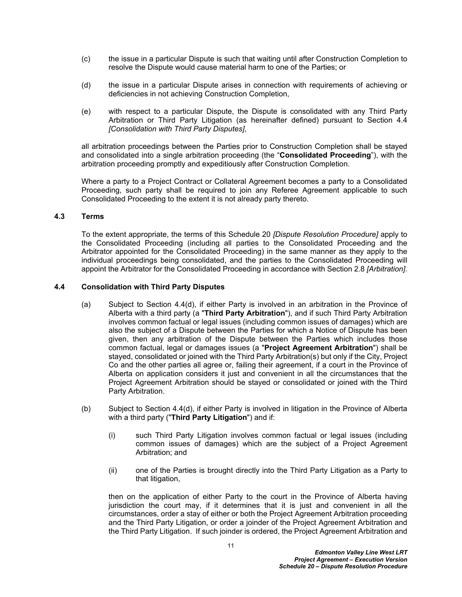- (c) the issue in a particular Dispute is such that waiting until after Construction Completion to resolve the Dispute would cause material harm to one of the Parties; or
- (d) the issue in a particular Dispute arises in connection with requirements of achieving or deficiencies in not achieving Construction Completion,
- (e) with respect to a particular Dispute, the Dispute is consolidated with any Third Party Arbitration or Third Party Litigation (as hereinafter defined) pursuant to Section [4.4](#page-12-1)  *[Consolidation with Third Party Disputes]*,

all arbitration proceedings between the Parties prior to Construction Completion shall be stayed and consolidated into a single arbitration proceeding (the "**Consolidated Proceeding**"), with the arbitration proceeding promptly and expeditiously after Construction Completion.

Where a party to a Project Contract or Collateral Agreement becomes a party to a Consolidated Proceeding, such party shall be required to join any Referee Agreement applicable to such Consolidated Proceeding to the extent it is not already party thereto.

#### <span id="page-12-0"></span>**4.3 Terms**

To the extent appropriate, the terms of this Schedule 20 *[Dispute Resolution Procedure]* apply to the Consolidated Proceeding (including all parties to the Consolidated Proceeding and the Arbitrator appointed for the Consolidated Proceeding) in the same manner as they apply to the individual proceedings being consolidated, and the parties to the Consolidated Proceeding will appoint the Arbitrator for the Consolidated Proceeding in accordance with Section [2.8](#page-9-1) *[Arbitration]*.

#### <span id="page-12-1"></span>**4.4 Consolidation with Third Party Disputes**

- <span id="page-12-2"></span>(a) Subject to Section [4.4\(d\),](#page-13-4) if either Party is involved in an arbitration in the Province of Alberta with a third party (a "**Third Party Arbitration**"), and if such Third Party Arbitration involves common factual or legal issues (including common issues of damages) which are also the subject of a Dispute between the Parties for which a Notice of Dispute has been given, then any arbitration of the Dispute between the Parties which includes those common factual, legal or damages issues (a "**Project Agreement Arbitration**") shall be stayed, consolidated or joined with the Third Party Arbitration(s) but only if the City, Project Co and the other parties all agree or, failing their agreement, if a court in the Province of Alberta on application considers it just and convenient in all the circumstances that the Project Agreement Arbitration should be stayed or consolidated or joined with the Third Party Arbitration.
- <span id="page-12-3"></span>(b) Subject to Section [4.4\(d\)](#page-13-4), if either Party is involved in litigation in the Province of Alberta with a third party ("**Third Party Litigation**") and if:
	- (i) such Third Party Litigation involves common factual or legal issues (including common issues of damages) which are the subject of a Project Agreement Arbitration; and
	- (ii) one of the Parties is brought directly into the Third Party Litigation as a Party to that litigation,

then on the application of either Party to the court in the Province of Alberta having jurisdiction the court may, if it determines that it is just and convenient in all the circumstances, order a stay of either or both the Project Agreement Arbitration proceeding and the Third Party Litigation, or order a joinder of the Project Agreement Arbitration and the Third Party Litigation. If such joinder is ordered, the Project Agreement Arbitration and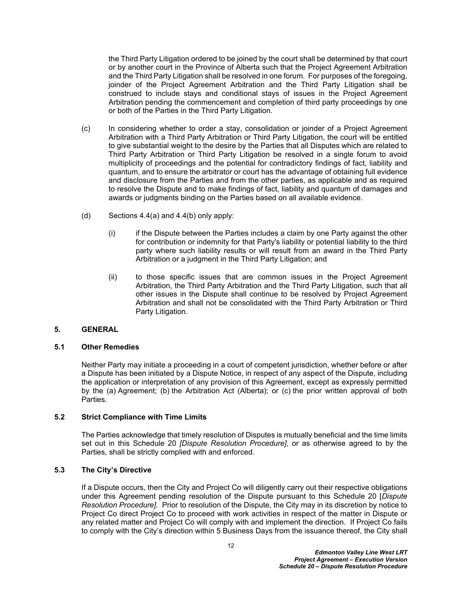the Third Party Litigation ordered to be joined by the court shall be determined by that court or by another court in the Province of Alberta such that the Project Agreement Arbitration and the Third Party Litigation shall be resolved in one forum. For purposes of the foregoing, joinder of the Project Agreement Arbitration and the Third Party Litigation shall be construed to include stays and conditional stays of issues in the Project Agreement Arbitration pending the commencement and completion of third party proceedings by one or both of the Parties in the Third Party Litigation.

- (c) In considering whether to order a stay, consolidation or joinder of a Project Agreement Arbitration with a Third Party Arbitration or Third Party Litigation, the court will be entitled to give substantial weight to the desire by the Parties that all Disputes which are related to Third Party Arbitration or Third Party Litigation be resolved in a single forum to avoid multiplicity of proceedings and the potential for contradictory findings of fact, liability and quantum, and to ensure the arbitrator or court has the advantage of obtaining full evidence and disclosure from the Parties and from the other parties, as applicable and as required to resolve the Dispute and to make findings of fact, liability and quantum of damages and awards or judgments binding on the Parties based on all available evidence.
- <span id="page-13-4"></span>(d) Sections [4.4\(a\)](#page-12-2) and [4.4\(b\)](#page-12-3) only apply:
	- (i) if the Dispute between the Parties includes a claim by one Party against the other for contribution or indemnity for that Party's liability or potential liability to the third party where such liability results or will result from an award in the Third Party Arbitration or a judgment in the Third Party Litigation; and
	- (ii) to those specific issues that are common issues in the Project Agreement Arbitration, the Third Party Arbitration and the Third Party Litigation, such that all other issues in the Dispute shall continue to be resolved by Project Agreement Arbitration and shall not be consolidated with the Third Party Arbitration or Third Party Litigation.

# <span id="page-13-0"></span>**5. GENERAL**

#### <span id="page-13-1"></span>**5.1 Other Remedies**

Neither Party may initiate a proceeding in a court of competent jurisdiction, whether before or after a Dispute has been initiated by a Dispute Notice, in respect of any aspect of the Dispute, including the application or interpretation of any provision of this Agreement, except as expressly permitted by the (a) Agreement; (b) the Arbitration Act (Alberta); or (c) the prior written approval of both Parties.

#### <span id="page-13-2"></span>**5.2 Strict Compliance with Time Limits**

The Parties acknowledge that timely resolution of Disputes is mutually beneficial and the time limits set out in this Schedule 20 *[Dispute Resolution Procedure]*, or as otherwise agreed to by the Parties, shall be strictly complied with and enforced.

#### <span id="page-13-3"></span>**5.3 The City's Directive**

If a Dispute occurs, then the City and Project Co will diligently carry out their respective obligations under this Agreement pending resolution of the Dispute pursuant to this Schedule 20 [*Dispute Resolution Procedure]*. Prior to resolution of the Dispute, the City may in its discretion by notice to Project Co direct Project Co to proceed with work activities in respect of the matter in Dispute or any related matter and Project Co will comply with and implement the direction. If Project Co fails to comply with the City's direction within 5 Business Days from the issuance thereof, the City shall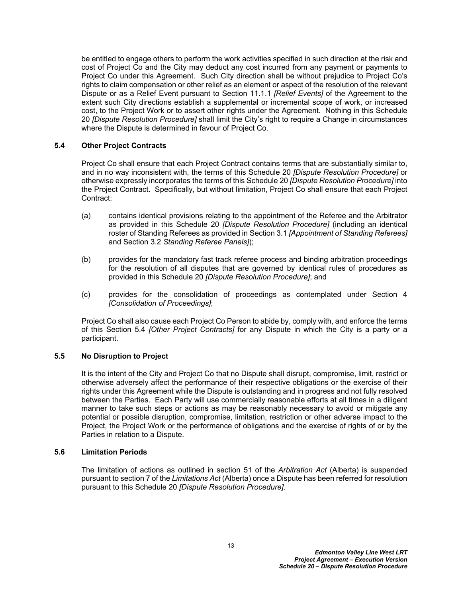be entitled to engage others to perform the work activities specified in such direction at the risk and cost of Project Co and the City may deduct any cost incurred from any payment or payments to Project Co under this Agreement. Such City direction shall be without prejudice to Project Co's rights to claim compensation or other relief as an element or aspect of the resolution of the relevant Dispute or as a Relief Event pursuant to Section 11.1.1 *[Relief Events]* of the Agreement to the extent such City directions establish a supplemental or incremental scope of work, or increased cost, to the Project Work or to assert other rights under the Agreement. Nothing in this Schedule 20 *[Dispute Resolution Procedure]* shall limit the City's right to require a Change in circumstances where the Dispute is determined in favour of Project Co.

### <span id="page-14-0"></span>**5.4 Other Project Contracts**

Project Co shall ensure that each Project Contract contains terms that are substantially similar to, and in no way inconsistent with, the terms of this Schedule 20 *[Dispute Resolution Procedure]* or otherwise expressly incorporates the terms of this Schedule 20 *[Dispute Resolution Procedure]* into the Project Contract. Specifically, but without limitation, Project Co shall ensure that each Project Contract:

- (a) contains identical provisions relating to the appointment of the Referee and the Arbitrator as provided in this Schedule 20 *[Dispute Resolution Procedure]* (including an identical roster of Standing Referees as provided in Section [3.1](#page-10-1) *[Appointment of Standing Referees]*  and Section [3.2](#page-10-2) *Standing Referee Panels]*);
- (b) provides for the mandatory fast track referee process and binding arbitration proceedings for the resolution of all disputes that are governed by identical rules of procedures as provided in this Schedule 20 *[Dispute Resolution Procedure]*; and
- (c) provides for the consolidation of proceedings as contemplated under Section [4](#page-11-2)  *[Consolidation of Proceedings]*;

Project Co shall also cause each Project Co Person to abide by, comply with, and enforce the terms of this Section [5.4](#page-14-0) *[Other Project Contracts]* for any Dispute in which the City is a party or a participant.

#### <span id="page-14-1"></span>**5.5 No Disruption to Project**

It is the intent of the City and Project Co that no Dispute shall disrupt, compromise, limit, restrict or otherwise adversely affect the performance of their respective obligations or the exercise of their rights under this Agreement while the Dispute is outstanding and in progress and not fully resolved between the Parties. Each Party will use commercially reasonable efforts at all times in a diligent manner to take such steps or actions as may be reasonably necessary to avoid or mitigate any potential or possible disruption, compromise, limitation, restriction or other adverse impact to the Project, the Project Work or the performance of obligations and the exercise of rights of or by the Parties in relation to a Dispute.

#### <span id="page-14-2"></span>**5.6 Limitation Periods**

The limitation of actions as outlined in section 51 of the *Arbitration Act* (Alberta) is suspended pursuant to section 7 of the *Limitations Act* (Alberta) once a Dispute has been referred for resolution pursuant to this Schedule 20 *[Dispute Resolution Procedure]*.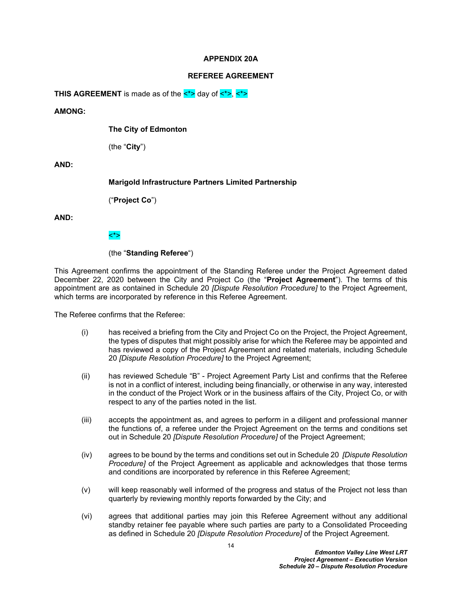#### **APPENDIX 20A**

#### <span id="page-15-0"></span>**REFEREE AGREEMENT**

**THIS AGREEMENT** is made as of the  $\lt^*$  day of  $\lt^*$ ,  $\lt^*$ 

#### **AMONG:**

**The City of Edmonton**

(the "**City**")

**AND:**

**Marigold Infrastructure Partners Limited Partnership**

("**Project Co**")

**AND:**

## <\*>

## (the "**Standing Referee**")

This Agreement confirms the appointment of the Standing Referee under the Project Agreement dated December 22, 2020 between the City and Project Co (the "**Project Agreement**"). The terms of this appointment are as contained in Schedule 20 *[Dispute Resolution Procedure]* to the Project Agreement, which terms are incorporated by reference in this Referee Agreement.

The Referee confirms that the Referee:

- (i) has received a briefing from the City and Project Co on the Project, the Project Agreement, the types of disputes that might possibly arise for which the Referee may be appointed and has reviewed a copy of the Project Agreement and related materials, including Schedule 20 *[Dispute Resolution Procedure]* to the Project Agreement;
- (ii) has reviewed Schedule "B" Project Agreement Party List and confirms that the Referee is not in a conflict of interest, including being financially, or otherwise in any way, interested in the conduct of the Project Work or in the business affairs of the City, Project Co, or with respect to any of the parties noted in the list.
- (iii) accepts the appointment as, and agrees to perform in a diligent and professional manner the functions of, a referee under the Project Agreement on the terms and conditions set out in Schedule 20 *[Dispute Resolution Procedure]* of the Project Agreement;
- (iv) agrees to be bound by the terms and conditions set out in Schedule 20 *[Dispute Resolution Procedure]* of the Project Agreement as applicable and acknowledges that those terms and conditions are incorporated by reference in this Referee Agreement;
- (v) will keep reasonably well informed of the progress and status of the Project not less than quarterly by reviewing monthly reports forwarded by the City; and
- (vi) agrees that additional parties may join this Referee Agreement without any additional standby retainer fee payable where such parties are party to a Consolidated Proceeding as defined in Schedule 20 *[Dispute Resolution Procedure]* of the Project Agreement.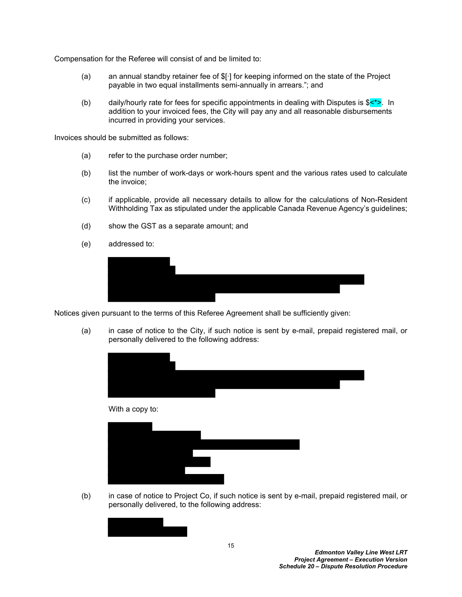Compensation for the Referee will consist of and be limited to:

- (a) an annual standby retainer fee of \$[∙] for keeping informed on the state of the Project payable in two equal installments semi-annually in arrears."; and
- (b) daily/hourly rate for fees for specific appointments in dealing with Disputes is  $\frac{\xi}{\xi}$ . In addition to your invoiced fees, the City will pay any and all reasonable disbursements incurred in providing your services.

Invoices should be submitted as follows:

- (a) refer to the purchase order number;
- (b) list the number of work-days or work-hours spent and the various rates used to calculate the invoice;
- (c) if applicable, provide all necessary details to allow for the calculations of Non-Resident Withholding Tax as stipulated under the applicable Canada Revenue Agency's guidelines;
- (d) show the GST as a separate amount; and
- (e) addressed to:



Notices given pursuant to the terms of this Referee Agreement shall be sufficiently given:

(a) in case of notice to the City, if such notice is sent by e-mail, prepaid registered mail, or personally delivered to the following address:





(b) in case of notice to Project Co, if such notice is sent by e-mail, prepaid registered mail, or personally delivered, to the following address:

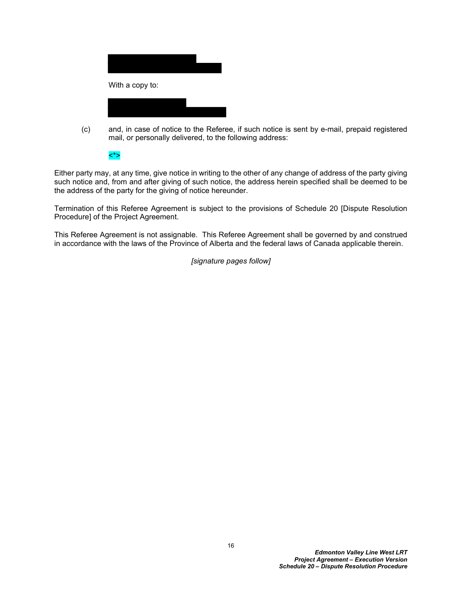

(c) and, in case of notice to the Referee, if such notice is sent by e-mail, prepaid registered mail, or personally delivered, to the following address:

<\*>

Either party may, at any time, give notice in writing to the other of any change of address of the party giving such notice and, from and after giving of such notice, the address herein specified shall be deemed to be the address of the party for the giving of notice hereunder.

Termination of this Referee Agreement is subject to the provisions of Schedule 20 [Dispute Resolution Procedure] of the Project Agreement.

This Referee Agreement is not assignable. This Referee Agreement shall be governed by and construed in accordance with the laws of the Province of Alberta and the federal laws of Canada applicable therein.

*[signature pages follow]*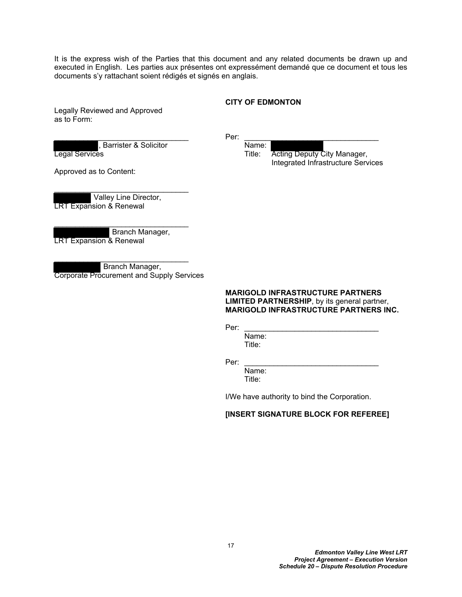It is the express wish of the Parties that this document and any related documents be drawn up and executed in English. Les parties aux présentes ont expressément demandé que ce document et tous les documents s'y rattachant soient rédigés et signés en anglais.

#### **CITY OF EDMONTON**

Legally Reviewed and Approved as to Form:

Barrister & Solicitor Name:

\_\_\_\_\_\_\_\_\_\_\_\_\_\_\_\_\_\_\_\_\_\_\_\_\_\_\_\_\_\_\_\_ Per: \_\_\_\_\_\_\_\_\_\_\_\_\_\_\_\_\_\_\_\_\_\_\_\_\_\_\_\_\_\_\_\_ **Legal Services Title: Acting Deputy City Manager,** Title: Acting Deputy City Manager, Integrated Infrastructure Services

Approved as to Content:

 Valley Line Director, LRT Expansion & Renewal

\_\_\_\_\_\_\_\_\_\_\_\_\_\_\_\_\_\_\_\_\_\_\_\_\_\_\_\_\_\_\_\_

 Branch Manager, LRT Expansion & Renewal

 Branch Manager, Corporate Procurement and Supply Services

\_\_\_\_\_\_\_\_\_\_\_\_\_\_\_\_\_\_\_\_\_\_\_\_\_\_\_\_\_\_\_\_

#### **MARIGOLD INFRASTRUCTURE PARTNERS LIMITED PARTNERSHIP**, by its general partner, **MARIGOLD INFRASTRUCTURE PARTNERS INC.**

Per: \_\_\_\_\_\_\_\_\_\_\_\_\_\_\_\_\_\_\_\_\_\_\_\_\_\_\_\_\_\_\_\_

Name: Title:

Per: \_\_\_\_\_\_\_\_\_\_\_\_\_\_\_\_\_\_\_\_\_\_\_\_\_\_\_\_\_\_\_\_

Name: Title:

I/We have authority to bind the Corporation.

#### **[INSERT SIGNATURE BLOCK FOR REFEREE]**